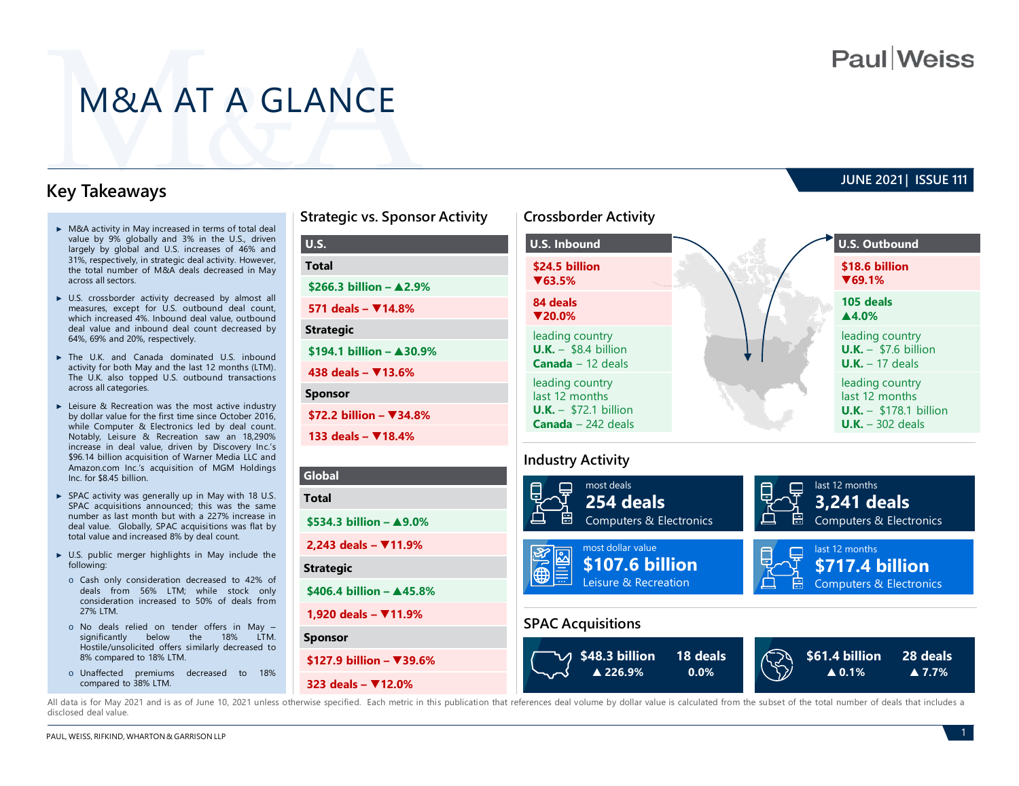**JUNE 2021 | ISSUE 111** 

# M&A AT A GLANCE

## **Key Takeaways**

- ► M&A activity in May increased in terms of total deal value by 9% globally and 3% in the U.S., driven largely by global and U.S. increases of 46% and 31%, respectively, in strategic deal activity. However, the total number of M&A deals decreased in May across all sectors.
- ► U.S. crossborder activity decreased by almost all measures, except for U.S. outbound deal count, which increased 4%. Inbound deal value, outbound deal value and inbound deal count decreased by 64%, 69% and 20%, respectively.
- ► The U.K. and Canada dominated U.S. inbound activity for both May and the last 12 months (LTM). The U.K. also topped U.S. outbound transactions across all categories.
- ► Leisure & Recreation was the most active industry by dollar value for the first time since October 2016, while Computer & Electronics led by deal count. Notably, Leisure & Recreation saw an 18,290% increase in deal value, driven by Discovery Inc.'s \$96.14 billion acquisition of Warner Media LLC and Amazon.com Inc.'s acquisition of MGM Holdings Inc. for \$8.45 billion.
- ► SPAC activity was generally up in May with 18 U.S. SPAC acquisitions announced; this was the same number as last month but with a 227% increase in deal value. Globally, SPAC acquisitions was flat by total value and increased 8% by deal count.
- ► U.S. public merger highlights in May include the following:
- o Cash only consideration decreased to 42% of deals from 56% LTM; while stock only consideration increased to 50% of deals from 27% LTM.
- o No deals relied on tender offers in May –<br>significantly below the 18% LTM. significantly below the 18% Hostile/unsolicited offers similarly decreased to 8% compared to 18% LTM.
- o Unaffected premiums decreased to 18% compared to 38% LTM.

# **Strategic vs. Sponsor Activity Crossborder Activity U.S. Total \$266.3 billion – ▲2.9% 571 deals – ▼14.8% Strategic \$194.1 billion – ▲30.9% 438 deals – ▼13.6% Sponsor \$72.2 billion – ▼34.8%**

**133 deals – ▼18.4%**

## **Global Total \$534.3 billion – ▲9.0% 2,243 deals – ▼11.9% Strategic \$406.4 billion – ▲45.8% 1,920 deals – ▼11.9% Sponsor \$127.9 billion – ▼39.6%**

**323 deals – ▼12.0%**



### **Industry Activity**



All data is for May 2021 and is as of June 10, 2021 unless otherwise specified. Each metric in this publication that references deal yolume by dollar value is calculated from the subset of the total number of deals that in disclosed deal value.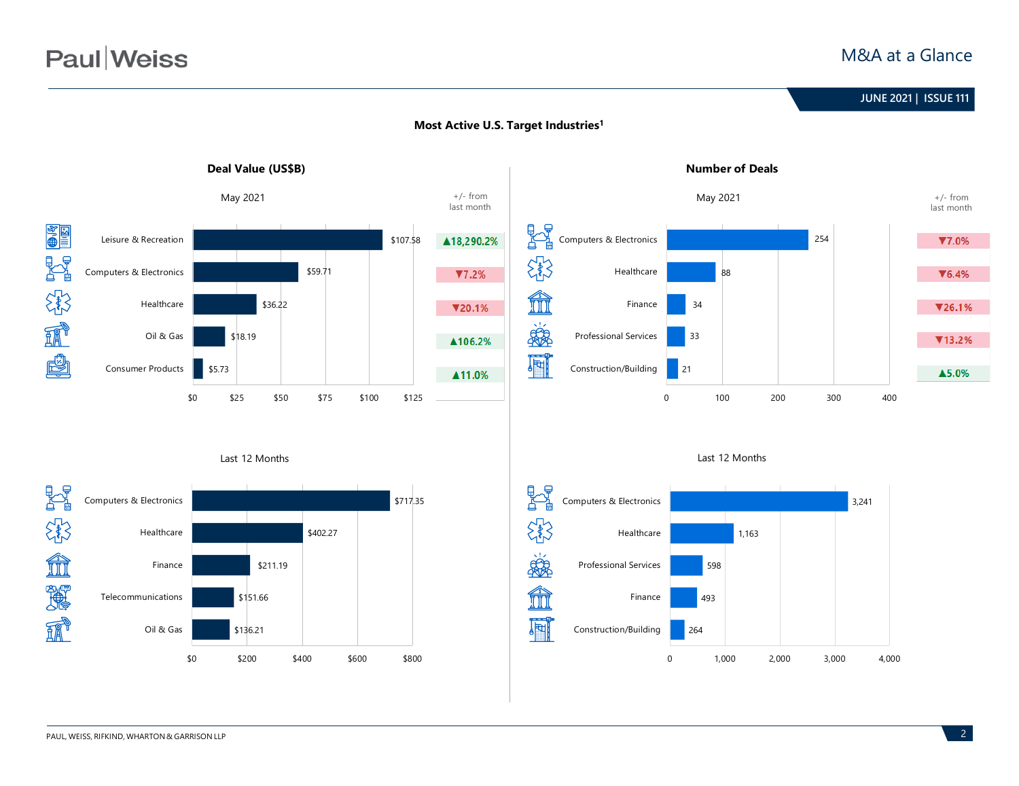## M&A at a Glance





### **Most Active U.S. Target Industries1**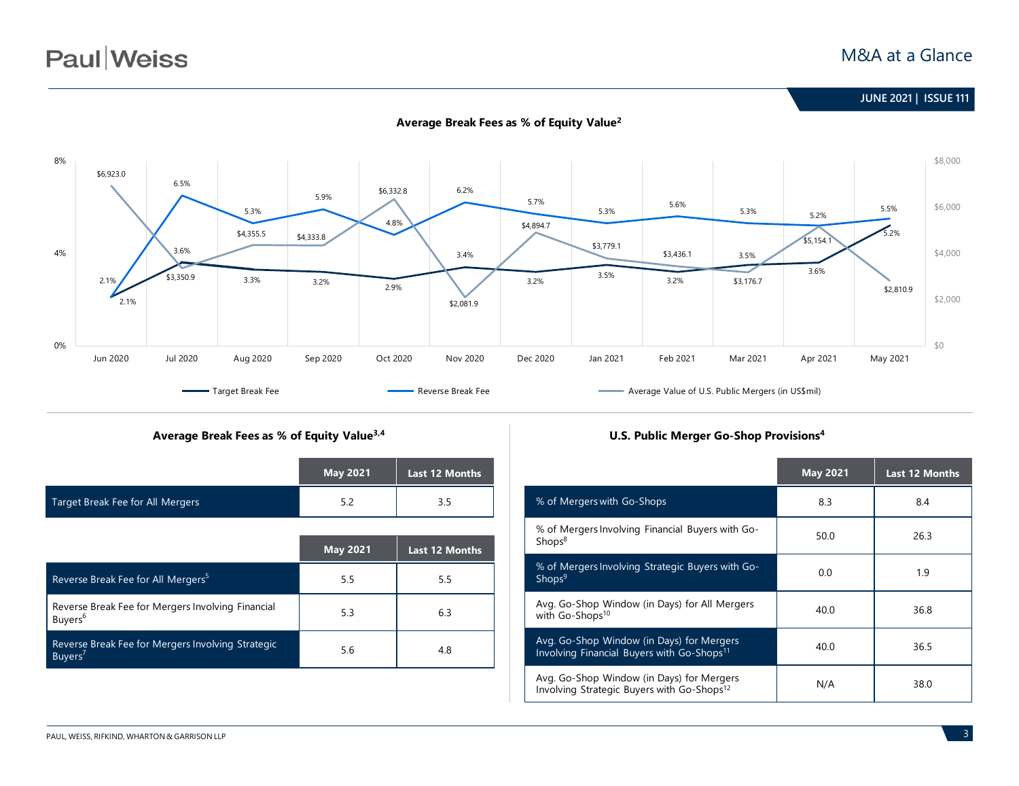



#### **Average Break Fees as % of Equity Value2**

#### **Average Break Fees as % of Equity Value3,4 U.S. Public Merger Go-Shop Provisions4**

|                                  | <b>May 2021</b> | <b>Last 12 Months</b> |
|----------------------------------|-----------------|-----------------------|
| Target Break Fee for All Mergers | 5.Z             | 3.5                   |

|                                                                          | <b>May 2021</b> | <b>Last 12 Months</b> |
|--------------------------------------------------------------------------|-----------------|-----------------------|
| Reverse Break Fee for All Mergers <sup>5</sup>                           | 5.5             | 5.5                   |
| Reverse Break Fee for Mergers Involving Financial<br>Buyers <sup>6</sup> | 5.3             | 6.3                   |
| Reverse Break Fee for Mergers Involving Strategic<br>Buyers'             | 5.6             | 4.8                   |

|                                                                                                     | <b>May 2021</b> | <b>Last 12 Months</b> |
|-----------------------------------------------------------------------------------------------------|-----------------|-----------------------|
| % of Mergers with Go-Shops                                                                          | 8.3             | 8.4                   |
| % of Mergers Involving Financial Buyers with Go-<br>Shops <sup>8</sup>                              | 50.0            | 26.3                  |
| % of Mergers Involving Strategic Buyers with Go-<br>Shops <sup>9</sup>                              | 0.0             | 1.9                   |
| Avg. Go-Shop Window (in Days) for All Mergers<br>with Go-Shops <sup>10</sup>                        | 40.0            | 36.8                  |
| Avg. Go-Shop Window (in Days) for Mergers<br>Involving Financial Buyers with Go-Shops <sup>11</sup> | 40.0            | 36.5                  |
| Avg. Go-Shop Window (in Days) for Mergers<br>Involving Strategic Buyers with Go-Shops <sup>12</sup> | N/A             | 38.0                  |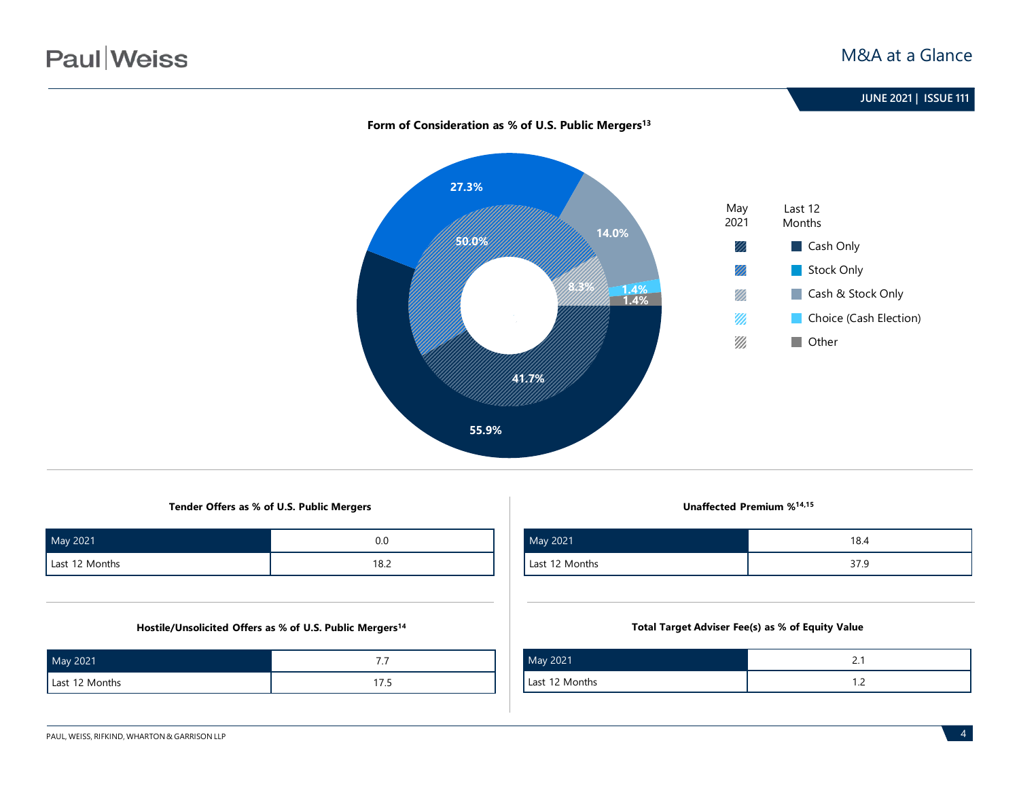

### Form of Consideration as % of U.S. Public Mergers<sup>13</sup>

**55.9%**

**Tender Offers as % of U.S. Public Mergers Unaffected Premium %14,15**

| May 2021       | 0.0  |
|----------------|------|
| Last 12 Months | 18.2 |

#### **Hostile/Unsolicited Offers as % of U.S. Public Mergers14**

| May 2021       | . .     |
|----------------|---------|
| Last 12 Months | 17<br>. |

| May 2021       | 18.4 |
|----------------|------|
| Last 12 Months | 37.9 |

#### **Total Target Adviser Fee(s) as % of Equity Value**

| May 2021       |   |
|----------------|---|
| Last 12 Months | . |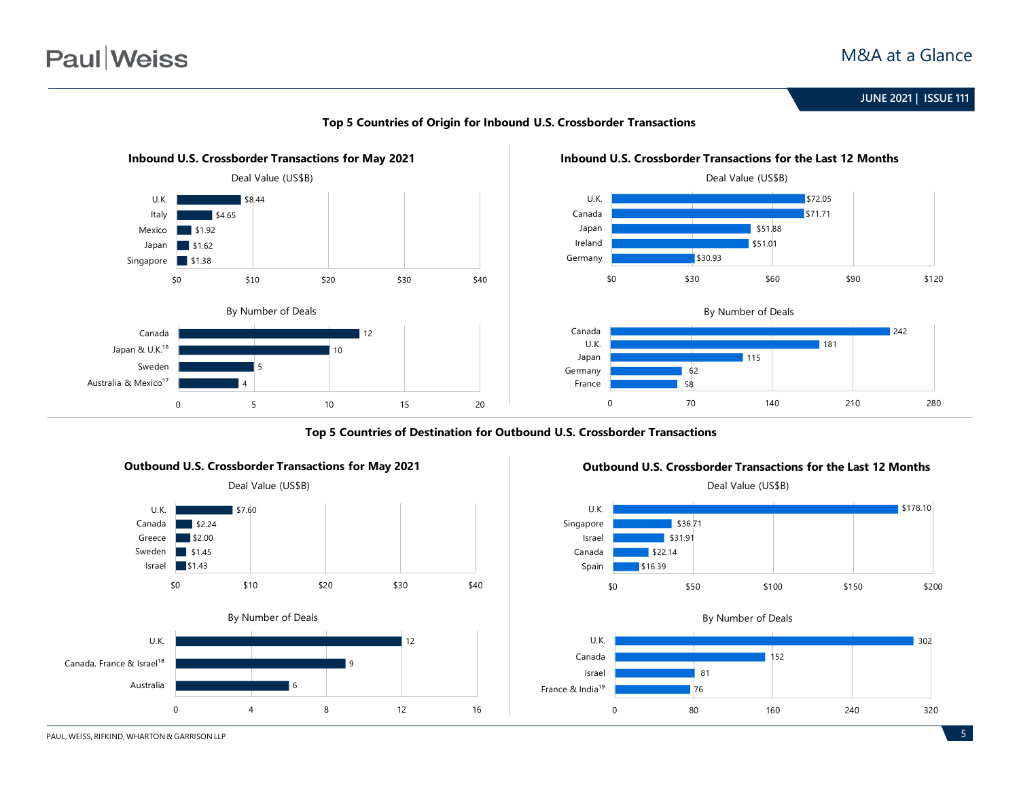

#### **Top 5 Countries of Origin for Inbound U.S. Crossborder Transactions**



Deal Value (US\$B)

**Top 5 Countries of Destination for Outbound U.S. Crossborder Transactions**





81 76

Canada Israel

France & India<sup>19</sup>



152

0 80 160 240 320

PAUL, WEISS, RIFKIND, WHARTON & GARRISON LLP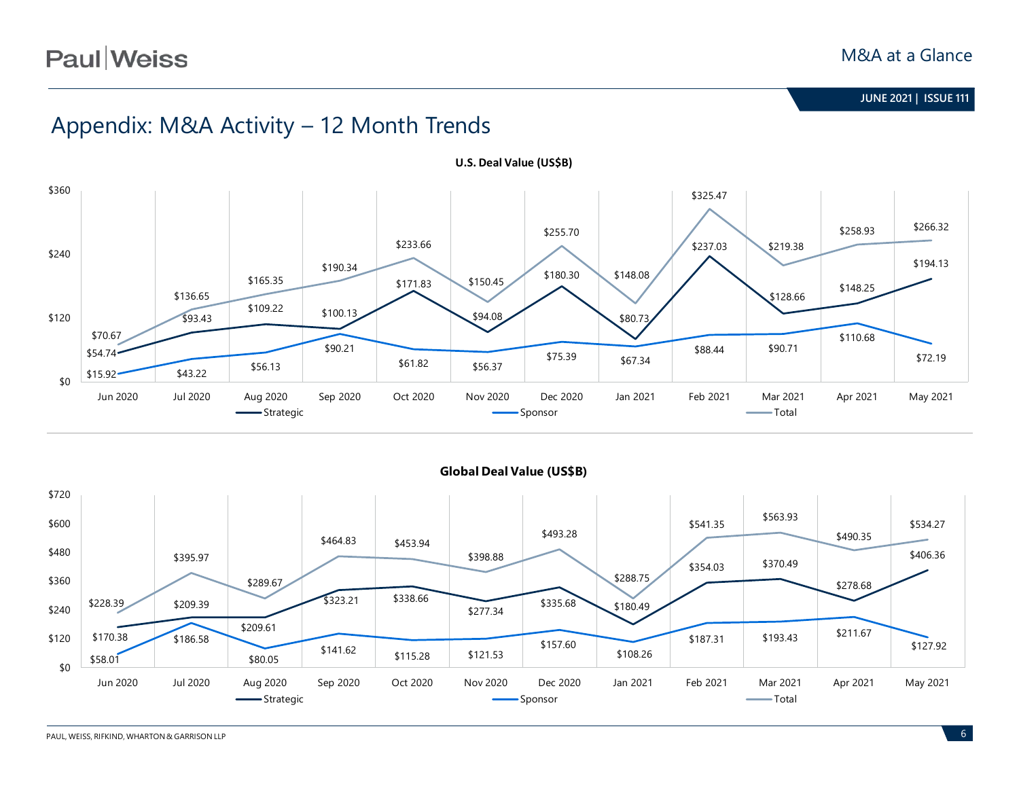# Appendix: M&A Activity – 12 Month Trends





**Global Deal Value (US\$B)**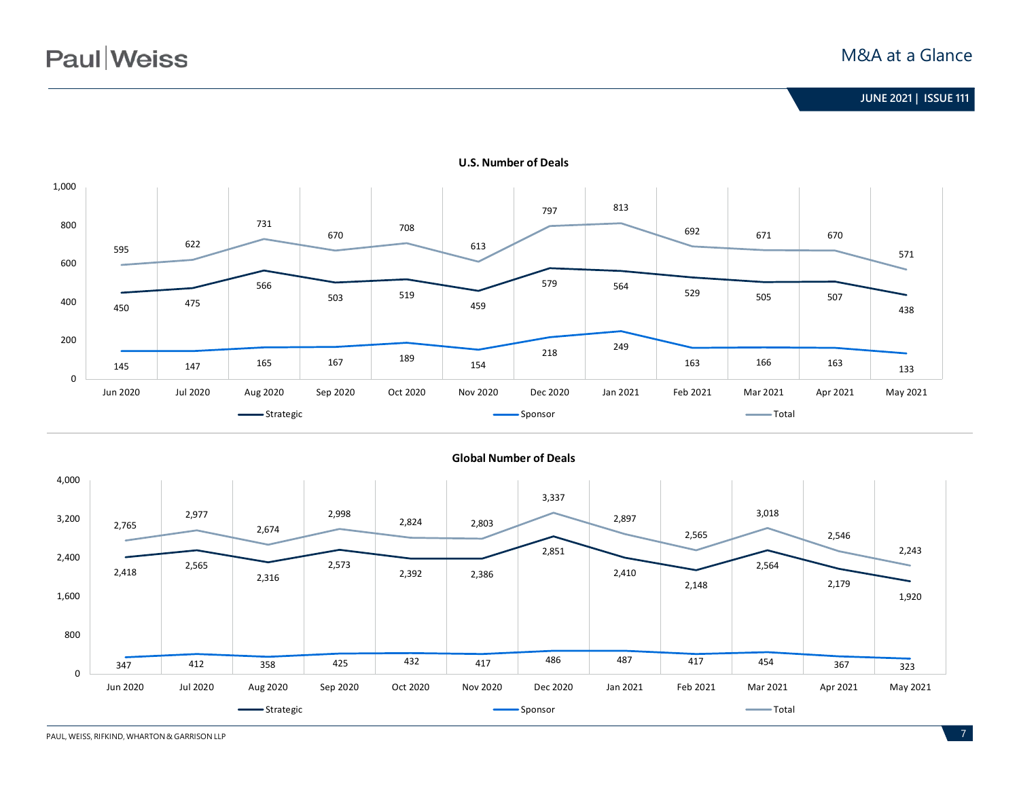

#### **U.S. Number of Deals**



**Global Number of Deals**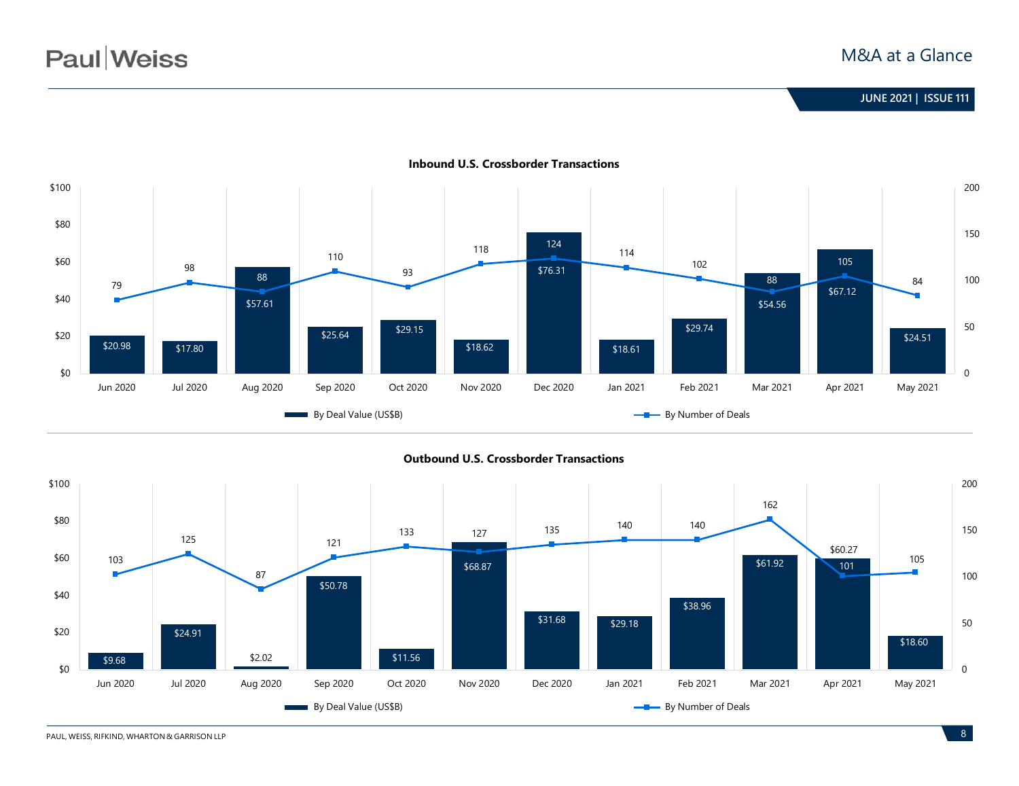## **June 2020 | ISSUE 99 JUNE 2021 | ISSUE 111**



**Inbound U.S. Crossborder Transactions**



PAUL, WEISS, RIFKIND, WHARTON & GARRISON LLP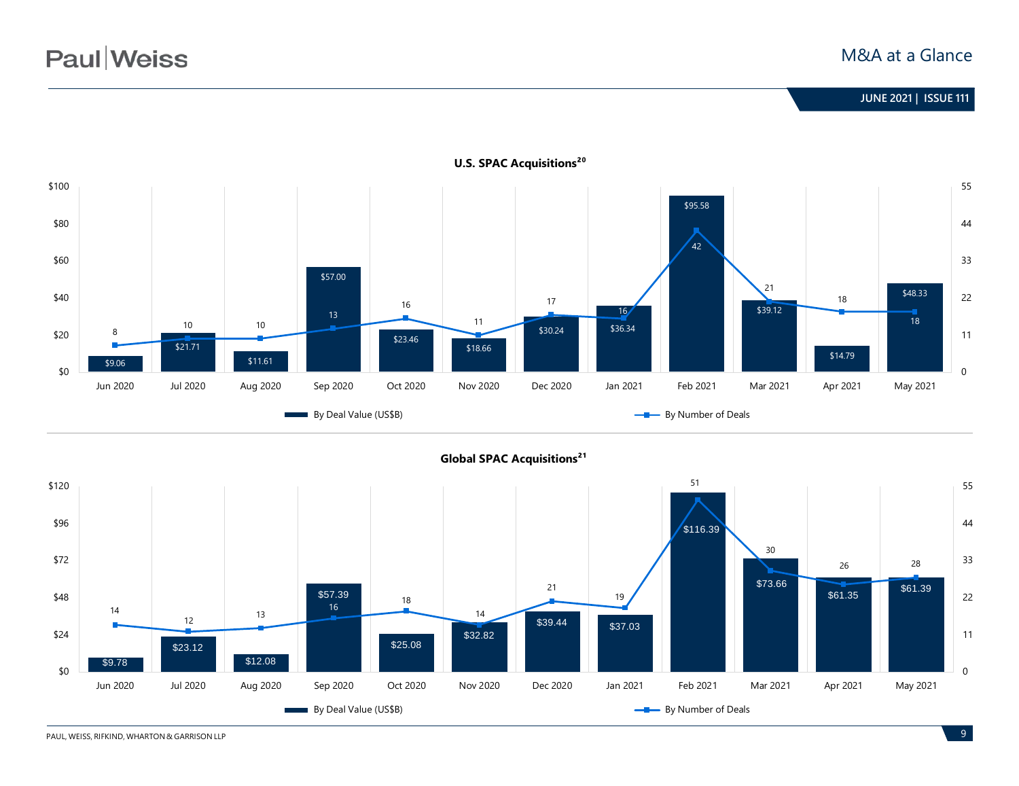## **June 2020 | ISSUE 99 JUNE 2021 | ISSUE 111**



**Global SPAC Acquisitions<sup>21</sup>** 



**U.S. SPAC Acquisitions<sup>20</sup>** 

PAUL, WEISS, RIFKIND, WHARTON & GARRISON LLP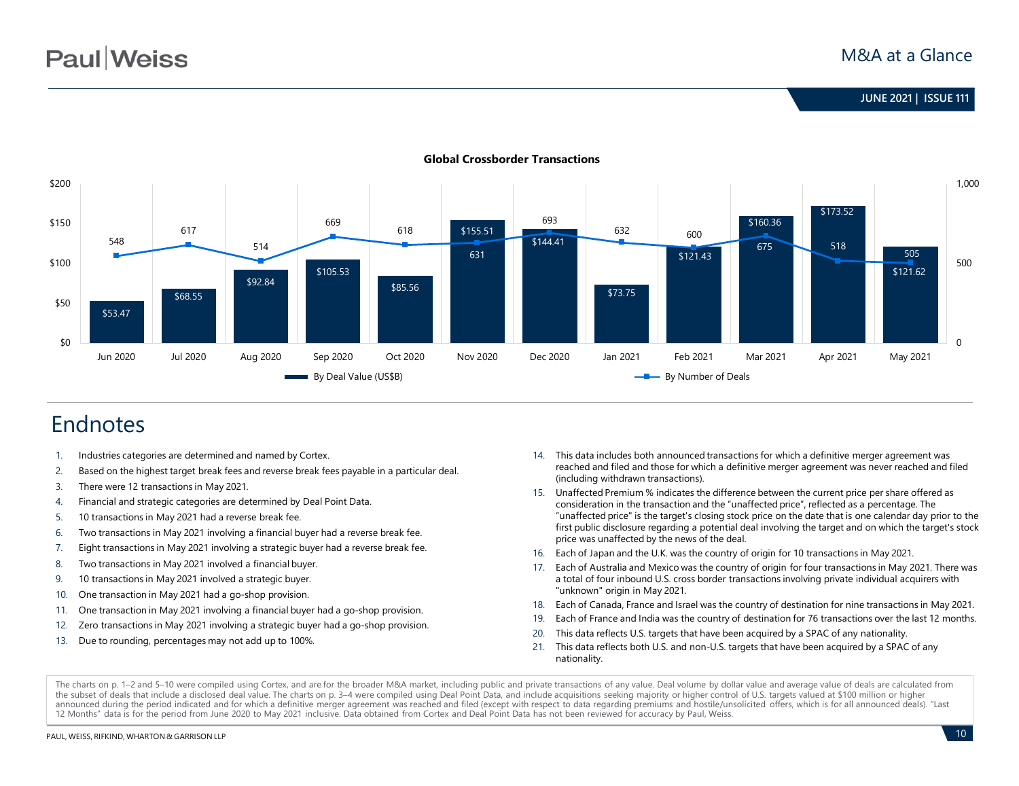

#### **Global Crossborder Transactions**

# Endnotes

- 1. Industries categories are determined and named by Cortex.
- 2. Based on the highest target break fees and reverse break fees payable in a particular deal.
- 3. There were 12 transactions in May 2021.
- 4. Financial and strategic categories are determined by Deal Point Data.
- 5. 10 transactions in May 2021 had a reverse break fee.
- 6. Two transactions in May 2021 involving a financial buyer had a reverse break fee.
- 7. Eight transactions in May 2021 involving a strategic buyer had a reverse break fee.
- 8. Two transactions in May 2021 involved a financial buyer.
- 9. 10 transactions in May 2021 involved a strategic buyer.
- 10. One transaction in May 2021 had a go-shop provision.
- 11. One transaction in May 2021 involving a financial buyer had a go-shop provision.
- 12. Zero transactions in May 2021 involving a strategic buyer had a go-shop provision.
- 13. Due to rounding, percentages may not add up to 100%.
- 14. This data includes both announced transactions for which a definitive merger agreement was reached and filed and those for which a definitive merger agreement was never reached and filed (including withdrawn transactions).
- 15. Unaffected Premium % indicates the difference between the current price per share offered as consideration in the transaction and the "unaffected price", reflected as a percentage. The "unaffected price" is the target's closing stock price on the date that is one calendar day prior to the first public disclosure regarding a potential deal involving the target and on which the target's stock price was unaffected by the news of the deal.
- 16. Each of Japan and the U.K. was the country of origin for 10 transactions in May 2021.
- 17. Each of Australia and Mexico was the country of origin for four transactions in May 2021. There was a total of four inbound U.S. cross border transactions involving private individual acquirers with "unknown" origin in May 2021.
- 18. Each of Canada, France and Israel was the country of destination for nine transactions in May 2021.
- 19. Each of France and India was the country of destination for 76 transactions over the last 12 months.
- 20. This data reflects U.S. targets that have been acquired by a SPAC of any nationality.
- 21. This data reflects both U.S. and non-U.S. targets that have been acquired by a SPAC of any nationality.

The charts on p. 1–2 and 5–10 were compiled using Cortex, and are for the broader M&A market, including public and private transactions of any value. Deal volume by dollar value and average value of deals are calculated fr the subset of deals that include a disclosed deal value. The charts on p. 3-4 were compiled using Deal Point Data, and include acquisitions seeking majority or higher control of U.S. targets valued at \$100 million or highe announced during the period indicated and for which a definitive merger agreement was reached and filed (except with respect to data regarding premiums and hostile/unsolicited offers, which is for all announced deals). "La 12 Months" data is for the period from June 2020 to May 2021 inclusive. Data obtained from Cortex and Deal Point Data has not been reviewed for accuracy by Paul, Weiss.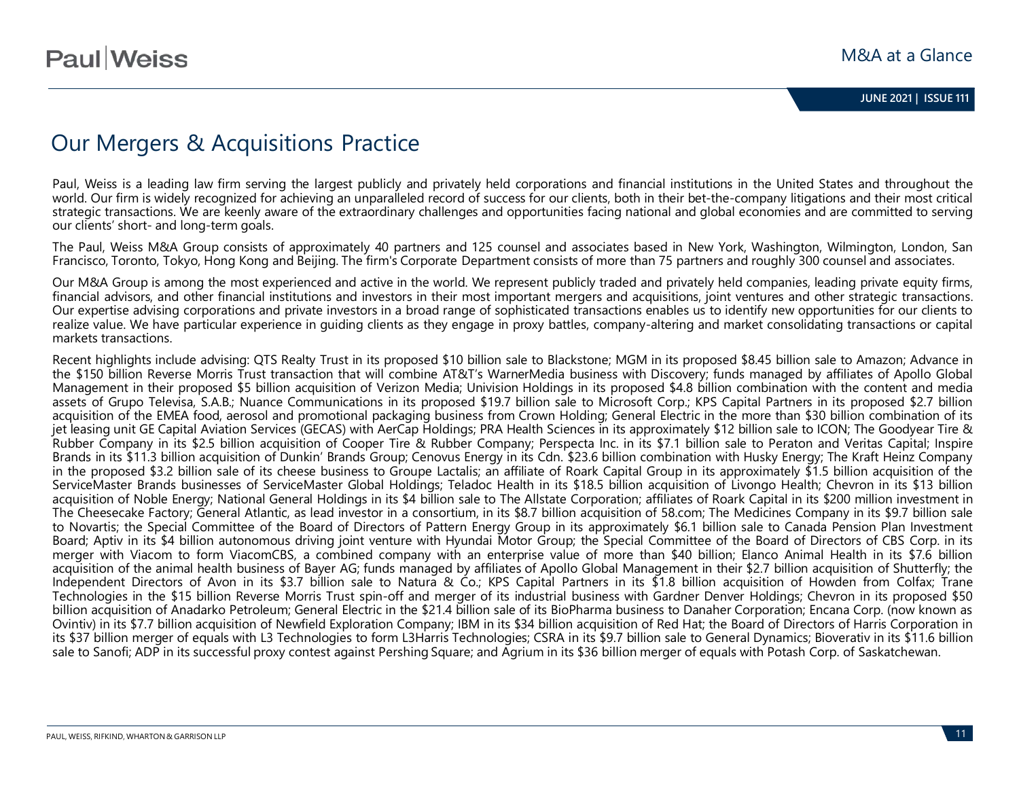# Our Mergers & Acquisitions Practice

Paul, Weiss is a leading law firm serving the largest publicly and privately held corporations and financial institutions in the United States and throughout the world. Our firm is widely recognized for achieving an unparalleled record of success for our clients, both in their bet-the-company litigations and their most critical strategic transactions. We are keenly aware of the extraordinary challenges and opportunities facing national and global economies and are committed to serving our clients' short- and long-term goals.

The Paul, Weiss M&A Group consists of approximately 40 partners and 125 counsel and associates based in New York, Washington, Wilmington, London, San Francisco, Toronto, Tokyo, Hong Kong and Beijing. The firm's Corporate Department consists of more than 75 partners and roughly 300 counsel and associates.

Our M&A Group is among the most experienced and active in the world. We represent publicly traded and privately held companies, leading private equity firms, financial advisors, and other financial institutions and investors in their most important mergers and acquisitions, joint ventures and other strategic transactions. Our expertise advising corporations and private investors in a broad range of sophisticated transactions enables us to identify new opportunities for our clients to realize value. We have particular experience in guiding clients as they engage in proxy battles, company-altering and market consolidating transactions or capital markets transactions.

Recent highlights include advising: QTS Realty Trust in its proposed \$10 billion sale to Blackstone; MGM in its proposed \$8.45 billion sale to Amazon; Advance in the \$150 billion Reverse Morris Trust transaction that will combine AT&T's WarnerMedia business with Discovery; funds managed by affiliates of Apollo Global Management in their proposed \$5 billion acquisition of Verizon Media; Univision Holdings in its proposed \$4.8 billion combination with the content and media assets of Grupo Televisa, S.A.B.; Nuance Communications in its proposed \$19.7 billion sale to Microsoft Corp.; KPS Capital Partners in its proposed \$2.7 billion acquisition of the EMEA food, aerosol and promotional packaging business from Crown Holding; General Electric in the more than \$30 billion combination of its jet leasing unit GE Capital Aviation Services (GECAS) with AerCap Holdings; PRA Health Sciences in its approximately \$12 billion sale to ICON; The Goodyear Tire & Rubber Company in its \$2.5 billion acquisition of Cooper Tire & Rubber Company; Perspecta Inc. in its \$7.1 billion sale to Peraton and Veritas Capital; Inspire Brands in its \$11.3 billion acquisition of Dunkin' Brands Group; Cenovus Energy in its Cdn. \$23.6 billion combination with Husky Energy; The Kraft Heinz Company in the proposed \$3.2 billion sale of its cheese business to Groupe Lactalis; an affiliate of Roark Capital Group in its approximately \$1.5 billion acquisition of the ServiceMaster Brands businesses of ServiceMaster Global Holdings; Teladoc Health in its \$18.5 billion acquisition of Livongo Health; Chevron in its \$13 billion acquisition of Noble Energy; National General Holdings in its \$4 billion sale to The Allstate Corporation; affiliates of Roark Capital in its \$200 million investment in The Cheesecake Factory; General Atlantic, as lead investor in a consortium, in its \$8.7 billion acquisition of 58.com; The Medicines Company in its \$9.7 billion sale to Novartis; the Special Committee of the Board of Directors of Pattern Energy Group in its approximately \$6.1 billion sale to Canada Pension Plan Investment Board; Aptiv in its \$4 billion autonomous driving joint venture with Hyundai Motor Group; the Special Committee of the Board of Directors of CBS Corp. in its merger with Viacom to form ViacomCBS, a combined company with an enterprise value of more than \$40 billion; Elanco Animal Health in its \$7.6 billion acquisition of the animal health business of Bayer AG; funds managed by affiliates of Apollo Global Management in their \$2.7 billion acquisition of Shutterfly; the Independent Directors of Avon in its \$3.7 billion sale to Natura & Co.; KPS Capital Partners in its \$1.8 billion acquisition of Howden from Colfax; Trane Technologies in the \$15 billion Reverse Morris Trust spin-off and merger of its industrial business with Gardner Denver Holdings; Chevron in its proposed \$50 billion acquisition of Anadarko Petroleum; General Electric in the \$21.4 billion sale of its BioPharma business to Danaher Corporation; Encana Corp. (now known as Ovintiv) in its \$7.7 billion acquisition of Newfield Exploration Company; IBM in its \$34 billion acquisition of Red Hat; the Board of Directors of Harris Corporation in its \$37 billion merger of equals with L3 Technologies to form L3Harris Technologies; CSRA in its \$9.7 billion sale to General Dynamics; Bioverativ in its \$11.6 billion sale to Sanofi; ADP in its successful proxy contest against Pershing Square; and Agrium in its \$36 billion merger of equals with Potash Corp. of Saskatchewan.